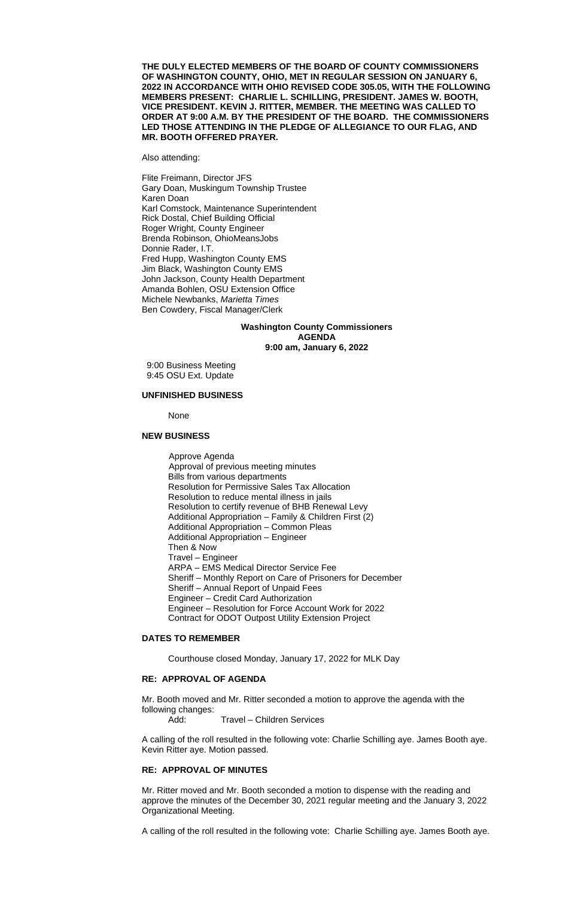**THE DULY ELECTED MEMBERS OF THE BOARD OF COUNTY COMMISSIONERS OF WASHINGTON COUNTY, OHIO, MET IN REGULAR SESSION ON JANUARY 6, 2022 IN ACCORDANCE WITH OHIO REVISED CODE 305.05, WITH THE FOLLOWING MEMBERS PRESENT: CHARLIE L. SCHILLING, PRESIDENT. JAMES W. BOOTH, VICE PRESIDENT. KEVIN J. RITTER, MEMBER. THE MEETING WAS CALLED TO ORDER AT 9:00 A.M. BY THE PRESIDENT OF THE BOARD. THE COMMISSIONERS LED THOSE ATTENDING IN THE PLEDGE OF ALLEGIANCE TO OUR FLAG, AND MR. BOOTH OFFERED PRAYER.**

Also attending:

Flite Freimann, Director JFS Gary Doan, Muskingum Township Trustee Karen Doan Karl Comstock, Maintenance Superintendent Rick Dostal, Chief Building Official Roger Wright, County Engineer Brenda Robinson, OhioMeansJobs Donnie Rader, I.T. Fred Hupp, Washington County EMS Jim Black, Washington County EMS John Jackson, County Health Department Amanda Bohlen, OSU Extension Office Michele Newbanks, *Marietta Times* Ben Cowdery, Fiscal Manager/Clerk

### **Washington County Commissioners AGENDA 9:00 am, January 6, 2022**

9:00 Business Meeting 9:45 OSU Ext. Update

#### **UNFINISHED BUSINESS**

None

#### **NEW BUSINESS**

Approve Agenda Approval of previous meeting minutes Bills from various departments Resolution for Permissive Sales Tax Allocation Resolution to reduce mental illness in jails Resolution to certify revenue of BHB Renewal Levy Additional Appropriation – Family & Children First (2) Additional Appropriation – Common Pleas Additional Appropriation – Engineer Then & Now Travel – Engineer ARPA – EMS Medical Director Service Fee Sheriff – Monthly Report on Care of Prisoners for December Sheriff – Annual Report of Unpaid Fees Engineer – Credit Card Authorization Engineer – Resolution for Force Account Work for 2022 Contract for ODOT Outpost Utility Extension Project

## **DATES TO REMEMBER**

Courthouse closed Monday, January 17, 2022 for MLK Day

# **RE: APPROVAL OF AGENDA**

Mr. Booth moved and Mr. Ritter seconded a motion to approve the agenda with the following changes:

Add: Travel – Children Services

A calling of the roll resulted in the following vote: Charlie Schilling aye. James Booth aye. Kevin Ritter aye. Motion passed.

# **RE: APPROVAL OF MINUTES**

Mr. Ritter moved and Mr. Booth seconded a motion to dispense with the reading and approve the minutes of the December 30, 2021 regular meeting and the January 3, 2022 Organizational Meeting.

A calling of the roll resulted in the following vote: Charlie Schilling aye. James Booth aye.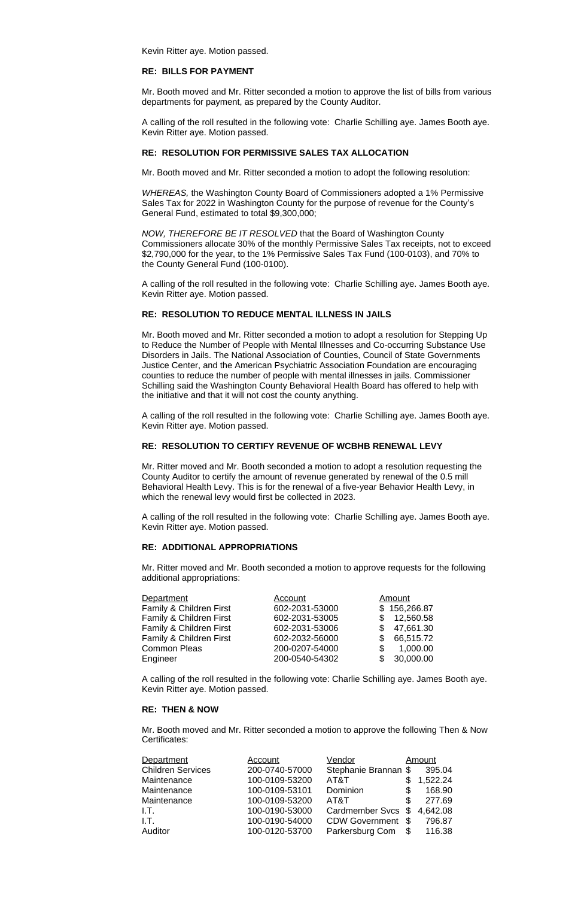Kevin Ritter aye. Motion passed.

### **RE: BILLS FOR PAYMENT**

Mr. Booth moved and Mr. Ritter seconded a motion to approve the list of bills from various departments for payment, as prepared by the County Auditor.

A calling of the roll resulted in the following vote: Charlie Schilling aye. James Booth aye. Kevin Ritter aye. Motion passed.

#### **RE: RESOLUTION FOR PERMISSIVE SALES TAX ALLOCATION**

Mr. Booth moved and Mr. Ritter seconded a motion to adopt the following resolution:

*WHEREAS,* the Washington County Board of Commissioners adopted a 1% Permissive Sales Tax for 2022 in Washington County for the purpose of revenue for the County's General Fund, estimated to total \$9,300,000;

*NOW, THEREFORE BE IT RESOLVED* that the Board of Washington County Commissioners allocate 30% of the monthly Permissive Sales Tax receipts, not to exceed \$2,790,000 for the year, to the 1% Permissive Sales Tax Fund (100-0103), and 70% to the County General Fund (100-0100).

A calling of the roll resulted in the following vote: Charlie Schilling aye. James Booth aye. Kevin Ritter aye. Motion passed.

#### **RE: RESOLUTION TO REDUCE MENTAL ILLNESS IN JAILS**

Mr. Booth moved and Mr. Ritter seconded a motion to adopt a resolution for Stepping Up to Reduce the Number of People with Mental Illnesses and Co-occurring Substance Use Disorders in Jails. The National Association of Counties, Council of State Governments Justice Center, and the American Psychiatric Association Foundation are encouraging counties to reduce the number of people with mental illnesses in jails. Commissioner Schilling said the Washington County Behavioral Health Board has offered to help with the initiative and that it will not cost the county anything.

A calling of the roll resulted in the following vote: Charlie Schilling aye. James Booth aye. Kevin Ritter aye. Motion passed.

### **RE: RESOLUTION TO CERTIFY REVENUE OF WCBHB RENEWAL LEVY**

Mr. Ritter moved and Mr. Booth seconded a motion to adopt a resolution requesting the County Auditor to certify the amount of revenue generated by renewal of the 0.5 mill Behavioral Health Levy. This is for the renewal of a five-year Behavior Health Levy, in which the renewal levy would first be collected in 2023.

A calling of the roll resulted in the following vote: Charlie Schilling aye. James Booth aye. Kevin Ritter aye. Motion passed.

#### **RE: ADDITIONAL APPROPRIATIONS**

Mr. Ritter moved and Mr. Booth seconded a motion to approve requests for the following additional appropriations:

| Department              | Account        |     | Amount       |
|-------------------------|----------------|-----|--------------|
| Family & Children First | 602-2031-53000 |     | \$156,266.87 |
| Family & Children First | 602-2031-53005 | \$. | 12,560.58    |
| Family & Children First | 602-2031-53006 | \$. | 47,661.30    |
| Family & Children First | 602-2032-56000 | \$. | 66,515.72    |
| <b>Common Pleas</b>     | 200-0207-54000 | \$  | 1,000.00     |
| Engineer                | 200-0540-54302 | \$. | 30,000.00    |

A calling of the roll resulted in the following vote: Charlie Schilling aye. James Booth aye. Kevin Ritter aye. Motion passed.

# **RE: THEN & NOW**

Mr. Booth moved and Mr. Ritter seconded a motion to approve the following Then & Now Certificates:

| Department               | Account        | Vendor                |     | Amount   |
|--------------------------|----------------|-----------------------|-----|----------|
| <b>Children Services</b> | 200-0740-57000 | Stephanie Brannan \$  |     | 395.04   |
| Maintenance              | 100-0109-53200 | AT&T                  |     | 1,522.24 |
| Maintenance              | 100-0109-53101 | Dominion              | \$  | 168.90   |
| Maintenance              | 100-0109-53200 | AT&T                  | \$. | 277.69   |
| 1.T.                     | 100-0190-53000 | Cardmember Svcs \$    |     | 4,642.08 |
| I.T.                     | 100-0190-54000 | <b>CDW Government</b> | -\$ | 796.87   |
| Auditor                  | 100-0120-53700 | Parkersburg Com       | \$  | 116.38   |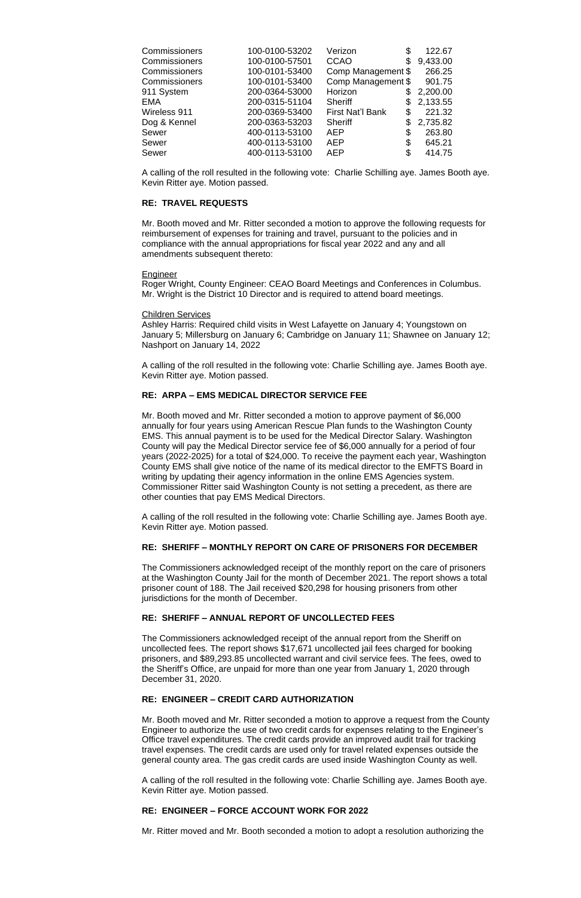| 100-0100-53202 | Verizon<br>\$          | 122.67   |
|----------------|------------------------|----------|
| 100-0100-57501 | <b>CCAO</b><br>\$      | 9,433.00 |
| 100-0101-53400 | Comp Management \$     | 266.25   |
| 100-0101-53400 | Comp Management \$     | 901.75   |
| 200-0364-53000 | Horizon                | 2,200.00 |
| 200-0315-51104 | <b>Sheriff</b><br>S    | 2,133.55 |
| 200-0369-53400 | First Nat'l Bank<br>\$ | 221.32   |
| 200-0363-53203 | <b>Sheriff</b><br>\$   | 2,735.82 |
| 400-0113-53100 | <b>AEP</b><br>\$       | 263.80   |
| 400-0113-53100 | <b>AEP</b><br>\$       | 645.21   |
| 400-0113-53100 | \$<br><b>AEP</b>       | 414.75   |
|                |                        |          |

A calling of the roll resulted in the following vote: Charlie Schilling aye. James Booth aye. Kevin Ritter aye. Motion passed.

# **RE: TRAVEL REQUESTS**

Mr. Booth moved and Mr. Ritter seconded a motion to approve the following requests for reimbursement of expenses for training and travel, pursuant to the policies and in compliance with the annual appropriations for fiscal year 2022 and any and all amendments subsequent thereto:

#### **Engineer**

Roger Wright, County Engineer: CEAO Board Meetings and Conferences in Columbus. Mr. Wright is the District 10 Director and is required to attend board meetings.

### Children Services

Ashley Harris: Required child visits in West Lafayette on January 4; Youngstown on January 5; Millersburg on January 6; Cambridge on January 11; Shawnee on January 12; Nashport on January 14, 2022

A calling of the roll resulted in the following vote: Charlie Schilling aye. James Booth aye. Kevin Ritter aye. Motion passed.

### **RE: ARPA – EMS MEDICAL DIRECTOR SERVICE FEE**

Mr. Booth moved and Mr. Ritter seconded a motion to approve payment of \$6,000 annually for four years using American Rescue Plan funds to the Washington County EMS. This annual payment is to be used for the Medical Director Salary. Washington County will pay the Medical Director service fee of \$6,000 annually for a period of four years (2022-2025) for a total of \$24,000. To receive the payment each year, Washington County EMS shall give notice of the name of its medical director to the EMFTS Board in writing by updating their agency information in the online EMS Agencies system. Commissioner Ritter said Washington County is not setting a precedent, as there are other counties that pay EMS Medical Directors.

A calling of the roll resulted in the following vote: Charlie Schilling aye. James Booth aye. Kevin Ritter aye. Motion passed.

### **RE: SHERIFF – MONTHLY REPORT ON CARE OF PRISONERS FOR DECEMBER**

The Commissioners acknowledged receipt of the monthly report on the care of prisoners at the Washington County Jail for the month of December 2021. The report shows a total prisoner count of 188. The Jail received \$20,298 for housing prisoners from other jurisdictions for the month of December.

# **RE: SHERIFF – ANNUAL REPORT OF UNCOLLECTED FEES**

The Commissioners acknowledged receipt of the annual report from the Sheriff on uncollected fees. The report shows \$17,671 uncollected jail fees charged for booking prisoners, and \$89,293.85 uncollected warrant and civil service fees. The fees, owed to the Sheriff's Office, are unpaid for more than one year from January 1, 2020 through December 31, 2020.

# **RE: ENGINEER – CREDIT CARD AUTHORIZATION**

Mr. Booth moved and Mr. Ritter seconded a motion to approve a request from the County Engineer to authorize the use of two credit cards for expenses relating to the Engineer's Office travel expenditures. The credit cards provide an improved audit trail for tracking travel expenses. The credit cards are used only for travel related expenses outside the general county area. The gas credit cards are used inside Washington County as well.

A calling of the roll resulted in the following vote: Charlie Schilling aye. James Booth aye. Kevin Ritter aye. Motion passed.

## **RE: ENGINEER – FORCE ACCOUNT WORK FOR 2022**

Mr. Ritter moved and Mr. Booth seconded a motion to adopt a resolution authorizing the